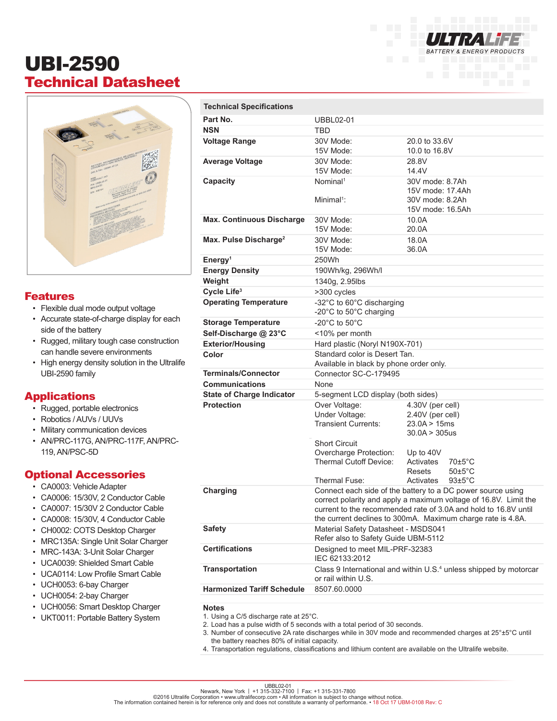# UBI-2590 Technical Datasheet



#### Features

- Flexible dual mode output voltage
- Accurate state-of-charge display for each side of the battery
- Rugged, military tough case construction can handle severe environments
- High energy density solution in the Ultralife UBI-2590 family

#### **Applications**

- Rugged, portable electronics
- Robotics / AUVs / UUVs
- Military communication devices
- AN/PRC-117G, AN/PRC-117F, AN/PRC-119, AN/PSC-5D

#### Optional Accessories

- CA0003: Vehicle Adapter
- CA0006: 15/30V, 2 Conductor Cable
- CA0007: 15/30V 2 Conductor Cable
- CA0008: 15/30V, 4 Conductor Cable
- CH0002: COTS Desktop Charger
- MRC135A: Single Unit Solar Charger
- MRC-143A: 3-Unit Solar Charger
- UCA0039: Shielded Smart Cable
- UCA0114: Low Profile Smart Cable
- UCH0053: 6-bay Charger
- UCH0054: 2-bay Charger
- UCH0056: Smart Desktop Charger
- UKT0011: Portable Battery System

| <b>Technical Specifications</b>   |                                                                                                                                                                                                                                                                   |                                                                            |                                              |
|-----------------------------------|-------------------------------------------------------------------------------------------------------------------------------------------------------------------------------------------------------------------------------------------------------------------|----------------------------------------------------------------------------|----------------------------------------------|
| Part No.                          | <b>UBBL02-01</b>                                                                                                                                                                                                                                                  |                                                                            |                                              |
| <b>NSN</b>                        | TBD                                                                                                                                                                                                                                                               |                                                                            |                                              |
| <b>Voltage Range</b>              | 30V Mode:<br>15V Mode:                                                                                                                                                                                                                                            | 20.0 to 33.6V<br>10.0 to 16.8V                                             |                                              |
| <b>Average Voltage</b>            | 30V Mode:<br>15V Mode:                                                                                                                                                                                                                                            | 28.8V<br>14.4V                                                             |                                              |
| Capacity                          | Nominal <sup>1</sup><br>Minimal <sup>1</sup> :                                                                                                                                                                                                                    | 30V mode: 8.7Ah<br>15V mode: 17.4Ah<br>30V mode: 8.2Ah<br>15V mode: 16.5Ah |                                              |
| <b>Max. Continuous Discharge</b>  | 30V Mode:<br>15V Mode:                                                                                                                                                                                                                                            | 10.0A<br>20.0A                                                             |                                              |
| Max. Pulse Discharge <sup>2</sup> | 30V Mode:<br>15V Mode:                                                                                                                                                                                                                                            | 18.0A<br>36.0A                                                             |                                              |
| Energy <sup>1</sup>               | 250Wh                                                                                                                                                                                                                                                             |                                                                            |                                              |
| <b>Energy Density</b>             | 190Wh/kg, 296Wh/l                                                                                                                                                                                                                                                 |                                                                            |                                              |
| Weight                            | 1340g, 2.95lbs                                                                                                                                                                                                                                                    |                                                                            |                                              |
| Cycle Life <sup>3</sup>           | >300 cycles                                                                                                                                                                                                                                                       |                                                                            |                                              |
| <b>Operating Temperature</b>      | -32°C to 60°C discharging<br>-20 $\degree$ C to 50 $\degree$ C charging                                                                                                                                                                                           |                                                                            |                                              |
| <b>Storage Temperature</b>        | -20 $^{\circ}$ C to 50 $^{\circ}$ C                                                                                                                                                                                                                               |                                                                            |                                              |
| Self-Discharge @ 23°C             | <10% per month                                                                                                                                                                                                                                                    |                                                                            |                                              |
| <b>Exterior/Housing</b>           | Hard plastic (Noryl N190X-701)                                                                                                                                                                                                                                    |                                                                            |                                              |
| Color                             | Standard color is Desert Tan.<br>Available in black by phone order only.                                                                                                                                                                                          |                                                                            |                                              |
| <b>Terminals/Connector</b>        | Connector SC-C-179495                                                                                                                                                                                                                                             |                                                                            |                                              |
| <b>Communications</b>             | None                                                                                                                                                                                                                                                              |                                                                            |                                              |
| <b>State of Charge Indicator</b>  | 5-segment LCD display (both sides)                                                                                                                                                                                                                                |                                                                            |                                              |
| <b>Protection</b>                 | Over Voltage:<br>Under Voltage:<br><b>Transient Currents:</b><br><b>Short Circuit</b>                                                                                                                                                                             | 4.30V (per cell)<br>2.40V (per cell)<br>23.0A > 15ms<br>30.0A > 305us      |                                              |
|                                   | Overcharge Protection:<br><b>Thermal Cutoff Device:</b>                                                                                                                                                                                                           | Up to $40V$<br>Activates<br>Resets                                         | $70 \pm 5^{\circ}$ C<br>$50 \pm 5^{\circ}$ C |
|                                   | Thermal Fuse:                                                                                                                                                                                                                                                     | Activates                                                                  | $93 \pm 5^{\circ}$ C                         |
| Charging                          | Connect each side of the battery to a DC power source using<br>correct polarity and apply a maximum voltage of 16.8V. Limit the<br>current to the recommended rate of 3.0A and hold to 16.8V until<br>the current declines to 300mA. Maximum charge rate is 4.8A. |                                                                            |                                              |
| <b>Safety</b>                     | Material Safety Datasheet - MSDS041<br>Refer also to Safety Guide UBM-5112                                                                                                                                                                                        |                                                                            |                                              |
| <b>Certifications</b>             | Designed to meet MIL-PRF-32383<br>IEC 62133:2012                                                                                                                                                                                                                  |                                                                            |                                              |
| <b>Transportation</b>             | Class 9 International and within U.S. <sup>4</sup> unless shipped by motorcar<br>or rail within U.S.                                                                                                                                                              |                                                                            |                                              |
| <b>Harmonized Tariff Schedule</b> | 8507.60.0000                                                                                                                                                                                                                                                      |                                                                            |                                              |

**BATTERY & ENERGY PRODUCTS** 

**Notes**

- 1. Using a C/5 discharge rate at 25°C.
- 2. Load has a pulse width of 5 seconds with a total period of 30 seconds.
- 3. Number of consecutive 2A rate discharges while in 30V mode and recommended charges at 25°±5°C until the battery reaches 80% of initial capacity.
- 4. Transportation regulations, classifications and lithium content are available on the Ultralife website.

UBBL02-01<br>Newark, New York | +1 315-030-7100 | Fax: +1 315-331-7800<br>The information contained herein is for reference only and does not constitute a warranty of performance. • 18 Oct 17 UBM-0108 Rev: C<br>The information con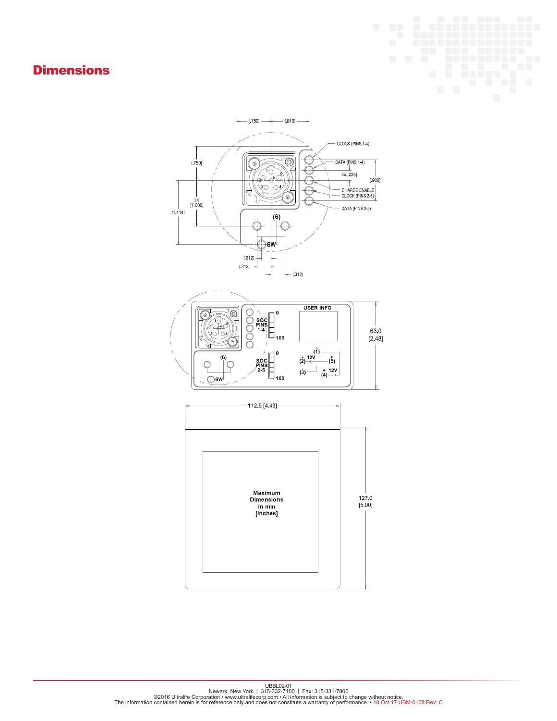### **Dimensions**